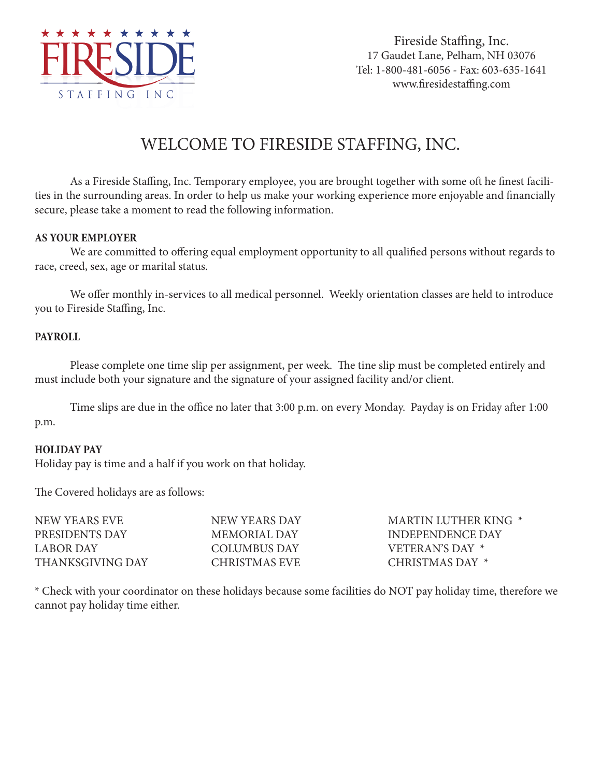

Fireside Staffing, Inc. 17 Gaudet Lane, Pelham, NH 03076 Tel: 1-800-481-6056 - Fax: 603-635-1641 www.firesidestaffing.com

## WELCOME TO FIRESIDE STAFFING, INC.

As a Fireside Staffing, Inc. Temporary employee, you are brought together with some oft he finest facilities in the surrounding areas. In order to help us make your working experience more enjoyable and financially secure, please take a moment to read the following information.

## **AS YOUR EMPLOYER**

We are committed to offering equal employment opportunity to all qualified persons without regards to race, creed, sex, age or marital status.

We offer monthly in-services to all medical personnel. Weekly orientation classes are held to introduce you to Fireside Staffing, Inc.

## **PAYROLL**

Please complete one time slip per assignment, per week. The tine slip must be completed entirely and must include both your signature and the signature of your assigned facility and/or client.

Time slips are due in the office no later that 3:00 p.m. on every Monday. Payday is on Friday after 1:00 p.m.

## **HOLIDAY PAY**

Holiday pay is time and a half if you work on that holiday.

The Covered holidays are as follows:

| NEW YEARS EVE    | NEW YEARS DAY | MARTIN LUTHER KING * |
|------------------|---------------|----------------------|
| PRESIDENTS DAY   | MEMORIAL DAY  | INDEPENDENCE DAY     |
| LABOR DAY        | COLUMBUS DAY  | VETERAN'S DAY *      |
| THANKSGIVING DAY | CHRISTMAS EVE | CHRISTMAS DAY *      |
|                  |               |                      |

\* Check with your coordinator on these holidays because some facilities do NOT pay holiday time, therefore we cannot pay holiday time either.